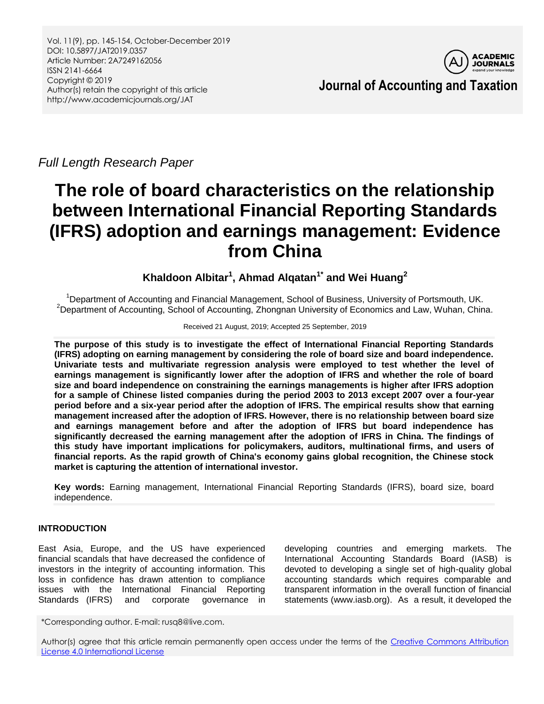

**Journal of Accounting and Taxation**

*Full Length Research Paper*

# **The role of board characteristics on the relationship between International Financial Reporting Standards (IFRS) adoption and earnings management: Evidence from China**

**Khaldoon Albitar<sup>1</sup> , Ahmad Alqatan1\* and Wei Huang<sup>2</sup>**

<sup>1</sup>Department of Accounting and Financial Management, School of Business, University of Portsmouth, UK. <sup>2</sup>Department of Accounting, School of Accounting, Zhongnan University of Economics and Law, Wuhan, China.

## Received 21 August, 2019; Accepted 25 September, 2019

**The purpose of this study is to investigate the effect of International Financial Reporting Standards (IFRS) adopting on earning management by considering the role of board size and board independence. Univariate tests and multivariate regression analysis were employed to test whether the level of earnings management is significantly lower after the adoption of IFRS and whether the role of board size and board independence on constraining the earnings managements is higher after IFRS adoption for a sample of Chinese listed companies during the period 2003 to 2013 except 2007 over a four-year period before and a six-year period after the adoption of IFRS. The empirical results show that earning management increased after the adoption of IFRS. However, there is no relationship between board size and earnings management before and after the adoption of IFRS but board independence has significantly decreased the earning management after the adoption of IFRS in China. The findings of this study have important implications for policymakers, auditors, multinational firms, and users of financial reports. As the rapid growth of China's economy gains global recognition, the Chinese stock market is capturing the attention of international investor.**

**Key words:** Earning management, International Financial Reporting Standards (IFRS), board size, board independence.

# **INTRODUCTION**

East Asia, Europe, and the US have experienced financial scandals that have decreased the confidence of investors in the integrity of accounting information. This loss in confidence has drawn attention to compliance issues with the International Financial Reporting Standards (IFRS) and corporate governance in

developing countries and emerging markets. The International Accounting Standards Board (IASB) is devoted to developing a single set of high-quality global accounting standards which requires comparable and transparent information in the overall function of financial statements (www.iasb.org). As a result, it developed the

\*Corresponding author. E-mail: rusq8@live.com.

Author(s) agree that this article remain permanently open access under the terms of the [Creative Commons Attribution](http://creativecommons.org/licenses/by/4.0/deed.en_US)  [License 4.0 International License](http://creativecommons.org/licenses/by/4.0/deed.en_US)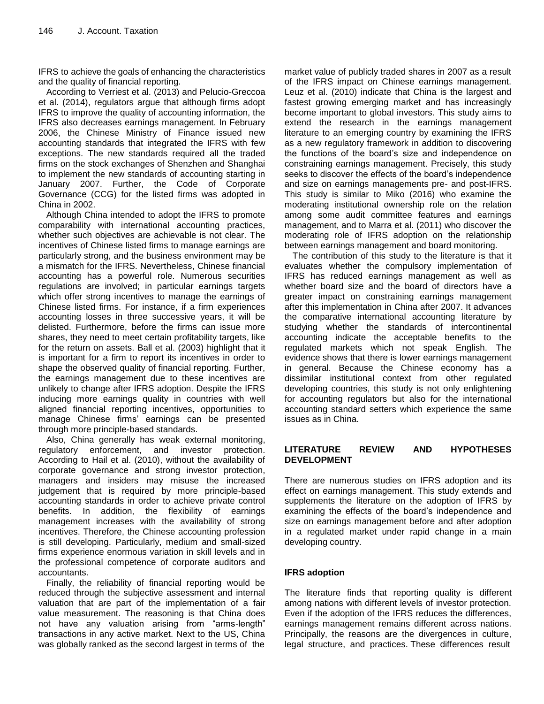IFRS to achieve the goals of enhancing the characteristics and the quality of financial reporting.

According to Verriest et al. (2013) and Pelucio-Greccoa et al. (2014), regulators argue that although firms adopt IFRS to improve the quality of accounting information, the IFRS also decreases earnings management. In February 2006, the Chinese Ministry of Finance issued new accounting standards that integrated the IFRS with few exceptions. The new standards required all the traded firms on the stock exchanges of Shenzhen and Shanghai to implement the new standards of accounting starting in January 2007. Further, the Code of Corporate Governance (CCG) for the listed firms was adopted in China in 2002.

Although China intended to adopt the IFRS to promote comparability with international accounting practices, whether such objectives are achievable is not clear. The incentives of Chinese listed firms to manage earnings are particularly strong, and the business environment may be a mismatch for the IFRS. Nevertheless, Chinese financial accounting has a powerful role. Numerous securities regulations are involved; in particular earnings targets which offer strong incentives to manage the earnings of Chinese listed firms. For instance, if a firm experiences accounting losses in three successive years, it will be delisted. Furthermore, before the firms can issue more shares, they need to meet certain profitability targets, like for the return on assets. Ball et al. (2003) highlight that it is important for a firm to report its incentives in order to shape the observed quality of financial reporting. Further, the earnings management due to these incentives are unlikely to change after IFRS adoption. Despite the IFRS inducing more earnings quality in countries with well aligned financial reporting incentives, opportunities to manage Chinese firms' earnings can be presented through more principle-based standards.

Also, China generally has weak external monitoring, regulatory enforcement, and investor protection. According to Hail et al. (2010), without the availability of corporate governance and strong investor protection, managers and insiders may misuse the increased judgement that is required by more principle-based accounting standards in order to achieve private control benefits. In addition, the flexibility of earnings management increases with the availability of strong incentives. Therefore, the Chinese accounting profession is still developing. Particularly, medium and small-sized firms experience enormous variation in skill levels and in the professional competence of corporate auditors and accountants.

Finally, the reliability of financial reporting would be reduced through the subjective assessment and internal valuation that are part of the implementation of a fair value measurement. The reasoning is that China does not have any valuation arising from "arms-length" transactions in any active market. Next to the US, China was globally ranked as the second largest in terms of the

market value of publicly traded shares in 2007 as a result of the IFRS impact on Chinese earnings management. Leuz et al. (2010) indicate that China is the largest and fastest growing emerging market and has increasingly become important to global investors. This study aims to extend the research in the earnings management literature to an emerging country by examining the IFRS as a new regulatory framework in addition to discovering the functions of the board's size and independence on constraining earnings management. Precisely, this study seeks to discover the effects of the board's independence and size on earnings managements pre- and post-IFRS. This study is similar to Miko (2016) who examine the moderating institutional ownership role on the relation among some audit committee features and earnings management, and to Marra et al. (2011) who discover the moderating role of IFRS adoption on the relationship between earnings management and board monitoring.

The contribution of this study to the literature is that it evaluates whether the compulsory implementation of IFRS has reduced earnings management as well as whether board size and the board of directors have a greater impact on constraining earnings management after this implementation in China after 2007. It advances the comparative international accounting literature by studying whether the standards of intercontinental accounting indicate the acceptable benefits to the regulated markets which not speak English. The evidence shows that there is lower earnings management in general. Because the Chinese economy has a dissimilar institutional context from other regulated developing countries, this study is not only enlightening for accounting regulators but also for the international accounting standard setters which experience the same issues as in China.

## **LITERATURE REVIEW AND HYPOTHESES DEVELOPMENT**

There are numerous studies on IFRS adoption and its effect on earnings management. This study extends and supplements the literature on the adoption of IFRS by examining the effects of the board's independence and size on earnings management before and after adoption in a regulated market under rapid change in a main developing country.

# **IFRS adoption**

The literature finds that reporting quality is different among nations with different levels of investor protection. Even if the adoption of the IFRS reduces the differences, earnings management remains different across nations. Principally, the reasons are the divergences in culture, legal structure, and practices. These differences result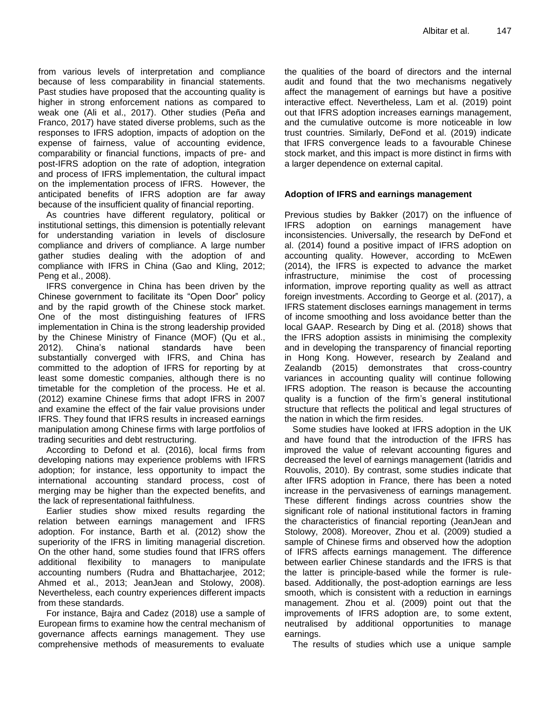from various levels of interpretation and compliance because of less comparability in financial statements. Past studies have proposed that the accounting quality is higher in strong enforcement nations as compared to weak one (Ali et al., 2017). Other studies (Peña and Franco, 2017) have stated diverse problems, such as the responses to IFRS adoption, impacts of adoption on the expense of fairness, value of accounting evidence, comparability or financial functions, impacts of pre- and post-IFRS adoption on the rate of adoption, integration and process of IFRS implementation, the cultural impact on the implementation process of IFRS. However, the anticipated benefits of IFRS adoption are far away because of the insufficient quality of financial reporting.

As countries have different regulatory, political or institutional settings, this dimension is potentially relevant for understanding variation in levels of disclosure compliance and drivers of compliance. A large number gather studies dealing with the adoption of and compliance with IFRS in China (Gao and Kling, 2012; Peng et al., 2008).

IFRS convergence in China has been driven by the Chinese government to facilitate its "Open Door" policy and by the rapid growth of the Chinese stock market. One of the most distinguishing features of IFRS implementation in China is the strong leadership provided by the Chinese Ministry of Finance (MOF) (Qu et al., 2012). China's national standards have been substantially converged with IFRS, and China has committed to the adoption of IFRS for reporting by at least some domestic companies, although there is no timetable for the completion of the process. He et al. (2012) examine Chinese firms that adopt IFRS in 2007 and examine the effect of the fair value provisions under IFRS. They found that IFRS results in increased earnings manipulation among Chinese firms with large portfolios of trading securities and debt restructuring.

According to Defond et al. (2016), local firms from developing nations may experience problems with IFRS adoption; for instance, less opportunity to impact the international accounting standard process, cost of merging may be higher than the expected benefits, and the lack of representational faithfulness.

Earlier studies show mixed results regarding the relation between earnings management and IFRS adoption. For instance, Barth et al. (2012) show the superiority of the IFRS in limiting managerial discretion. On the other hand, some studies found that IFRS offers additional flexibility to managers to manipulate accounting numbers (Rudra and Bhattacharjee, 2012; Ahmed et al., 2013; JeanJean and Stolowy, 2008). Nevertheless, each country experiences different impacts from these standards.

For instance, Bajra and Cadez (2018) use a sample of European firms to examine how the central mechanism of governance affects earnings management. They use comprehensive methods of measurements to evaluate

the qualities of the board of directors and the internal audit and found that the two mechanisms negatively affect the management of earnings but have a positive interactive effect. Nevertheless, Lam et al. (2019) point out that IFRS adoption increases earnings management, and the cumulative outcome is more noticeable in low trust countries. Similarly, DeFond et al. (2019) indicate that IFRS convergence leads to a favourable Chinese stock market, and this impact is more distinct in firms with a larger dependence on external capital.

## **Adoption of IFRS and earnings management**

Previous studies by Bakker (2017) on the influence of IFRS adoption on earnings management have inconsistencies. Universally, the research by DeFond et al. (2014) found a positive impact of IFRS adoption on accounting quality. However, according to McEwen (2014), the IFRS is expected to advance the market infrastructure, minimise the cost of processing information, improve reporting quality as well as attract foreign investments. According to George et al. (2017), a IFRS statement discloses earnings management in terms of income smoothing and loss avoidance better than the local GAAP. Research by Ding et al. (2018) shows that the IFRS adoption assists in minimising the complexity and in developing the transparency of financial reporting in Hong Kong. However, research by Zealand and Zealandb (2015) demonstrates that cross-country variances in accounting quality will continue following IFRS adoption. The reason is because the accounting quality is a function of the firm's general institutional structure that reflects the political and legal structures of the nation in which the firm resides.

Some studies have looked at IFRS adoption in the UK and have found that the introduction of the IFRS has improved the value of relevant accounting figures and decreased the level of earnings management (Iatridis and Rouvolis, 2010). By contrast, some studies indicate that after IFRS adoption in France, there has been a noted increase in the pervasiveness of earnings management. These different findings across countries show the significant role of national institutional factors in framing the characteristics of financial reporting (JeanJean and Stolowy, 2008). Moreover, Zhou et al. (2009) studied a sample of Chinese firms and observed how the adoption of IFRS affects earnings management. The difference between earlier Chinese standards and the IFRS is that the latter is principle-based while the former is rulebased. Additionally, the post-adoption earnings are less smooth, which is consistent with a reduction in earnings management. Zhou et al. (2009) point out that the improvements of IFRS adoption are, to some extent, neutralised by additional opportunities to manage earnings.

The results of studies which use a unique sample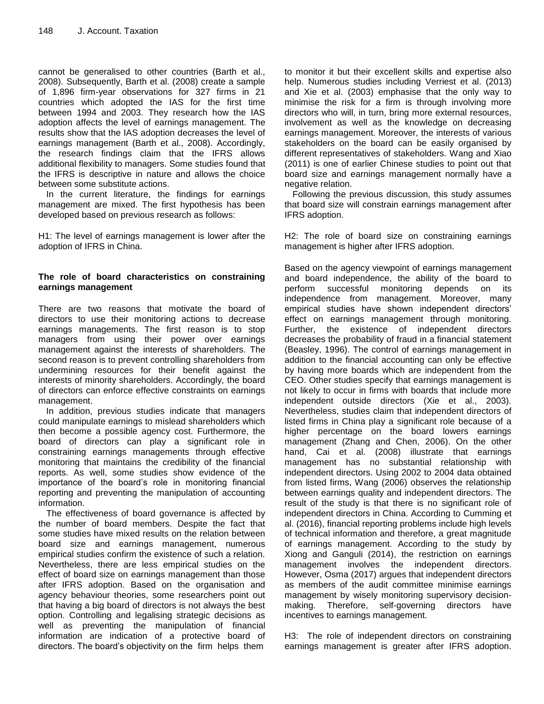cannot be generalised to other countries (Barth et al., 2008). Subsequently, Barth et al. (2008) create a sample of 1,896 firm-year observations for 327 firms in 21 countries which adopted the IAS for the first time between 1994 and 2003. They research how the IAS adoption affects the level of earnings management. The results show that the IAS adoption decreases the level of earnings management (Barth et al., 2008). Accordingly, the research findings claim that the IFRS allows additional flexibility to managers. Some studies found that the IFRS is descriptive in nature and allows the choice between some substitute actions.

In the current literature, the findings for earnings management are mixed. The first hypothesis has been developed based on previous research as follows:

H1: The level of earnings management is lower after the adoption of IFRS in China.

## **The role of board characteristics on constraining earnings management**

There are two reasons that motivate the board of directors to use their monitoring actions to decrease earnings managements. The first reason is to stop managers from using their power over earnings management against the interests of shareholders. The second reason is to prevent controlling shareholders from undermining resources for their benefit against the interests of minority shareholders. Accordingly, the board of directors can enforce effective constraints on earnings management.

In addition, previous studies indicate that managers could manipulate earnings to mislead shareholders which then become a possible agency cost. Furthermore, the board of directors can play a significant role in constraining earnings managements through effective monitoring that maintains the credibility of the financial reports. As well, some studies show evidence of the importance of the board's role in monitoring financial reporting and preventing the manipulation of accounting information.

The effectiveness of board governance is affected by the number of board members. Despite the fact that some studies have mixed results on the relation between board size and earnings management, numerous empirical studies confirm the existence of such a relation. Nevertheless, there are less empirical studies on the effect of board size on earnings management than those after IFRS adoption. Based on the organisation and agency behaviour theories, some researchers point out that having a big board of directors is not always the best option. Controlling and legalising strategic decisions as well as preventing the manipulation of financial information are indication of a protective board of directors. The board's objectivity on the firm helps them

to monitor it but their excellent skills and expertise also help. Numerous studies including Verriest et al. (2013) and Xie et al. (2003) emphasise that the only way to minimise the risk for a firm is through involving more directors who will, in turn, bring more external resources, involvement as well as the knowledge on decreasing earnings management. Moreover, the interests of various stakeholders on the board can be easily organised by different representatives of stakeholders. Wang and Xiao (2011) is one of earlier Chinese studies to point out that board size and earnings management normally have a negative relation.

Following the previous discussion, this study assumes that board size will constrain earnings management after IFRS adoption.

H2: The role of board size on constraining earnings management is higher after IFRS adoption.

Based on the agency viewpoint of earnings management and board independence, the ability of the board to perform successful monitoring depends on its independence from management. Moreover, many empirical studies have shown independent directors' effect on earnings management through monitoring. Further, the existence of independent directors decreases the probability of fraud in a financial statement (Beasley, 1996). The control of earnings management in addition to the financial accounting can only be effective by having more boards which are independent from the CEO. Other studies specify that earnings management is not likely to occur in firms with boards that include more independent outside directors (Xie et al., 2003). Nevertheless, studies claim that independent directors of listed firms in China play a significant role because of a higher percentage on the board lowers earnings management (Zhang and Chen, 2006). On the other hand, Cai et al. (2008) illustrate that earnings management has no substantial relationship with independent directors. Using 2002 to 2004 data obtained from listed firms, Wang (2006) observes the relationship between earnings quality and independent directors. The result of the study is that there is no significant role of independent directors in China. According to Cumming et al. (2016), financial reporting problems include high levels of technical information and therefore, a great magnitude of earnings management. According to the study by Xiong and Ganguli (2014), the restriction on earnings management involves the independent directors. However, Osma (2017) argues that independent directors as members of the audit committee minimise earnings management by wisely monitoring supervisory decisionmaking. Therefore, self-governing directors have incentives to earnings management.

H3: The role of independent directors on constraining earnings management is greater after IFRS adoption.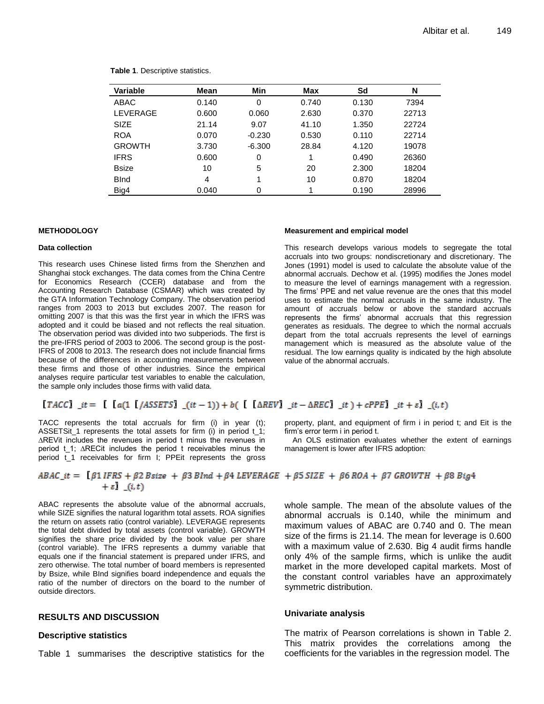| Variable      | Mean  | Min      | Max   | Sd    | N     |
|---------------|-------|----------|-------|-------|-------|
| ABAC          | 0.140 | 0        | 0.740 | 0.130 | 7394  |
| LEVERAGE      | 0.600 | 0.060    | 2.630 | 0.370 | 22713 |
| <b>SIZE</b>   | 21.14 | 9.07     | 41.10 | 1.350 | 22724 |
| <b>ROA</b>    | 0.070 | $-0.230$ | 0.530 | 0.110 | 22714 |
| <b>GROWTH</b> | 3.730 | $-6.300$ | 28.84 | 4.120 | 19078 |
| <b>IFRS</b>   | 0.600 | 0        | 1     | 0.490 | 26360 |
| <b>Bsize</b>  | 10    | 5        | 20    | 2.300 | 18204 |
| <b>B</b> Ind  | 4     |          | 10    | 0.870 | 18204 |
| Big4          | 0.040 | 0        |       | 0.190 | 28996 |

**Table 1**. Descriptive statistics.

#### **METHODOLOGY**

#### **Data collection**

This research uses Chinese listed firms from the Shenzhen and Shanghai stock exchanges. The data comes from the China Centre for Economics Research (CCER) database and from the Accounting Research Database (CSMAR) which was created by the GTA Information Technology Company. The observation period ranges from 2003 to 2013 but excludes 2007. The reason for omitting 2007 is that this was the first year in which the IFRS was adopted and it could be biased and not reflects the real situation. The observation period was divided into two subperiods. The first is the pre-IFRS period of 2003 to 2006. The second group is the post-IFRS of 2008 to 2013. The research does not include financial firms because of the differences in accounting measurements between these firms and those of other industries. Since the empirical analyses require particular test variables to enable the calculation, the sample only includes those firms with valid data.

#### **Measurement and empirical model**

This research develops various models to segregate the total accruals into two groups: nondiscretionary and discretionary. The Jones (1991) model is used to calculate the absolute value of the abnormal accruals. Dechow et al. (1995) modifies the Jones model to measure the level of earnings management with a regression. The firms' PPE and net value revenue are the ones that this model uses to estimate the normal accruals in the same industry. The amount of accruals below or above the standard accruals represents the firms' abnormal accruals that this regression generates as residuals. The degree to which the normal accruals depart from the total accruals represents the level of earnings management which is measured as the absolute value of the residual. The low earnings quality is indicated by the high absolute value of the abnormal accruals.

# $\llbracket TACC \rrbracket$   $it = \llbracket \llbracket a(1 \rrbracket / ASSETS \rrbracket \_ (it-1)) + b( \llbracket \llbracket \Delta REV \rrbracket \_ it - \Delta REC \rrbracket \_ it ) + cPPE \rrbracket \_ it + \varepsilon \rrbracket \_ (i, t)$

TACC represents the total accruals for firm (i) in year (t); ASSETSit\_1 represents the total assets for firm (i) in period t\_1; ∆REVit includes the revenues in period t minus the revenues in period t 1; ∆RECit includes the period t receivables minus the period t\_1 receivables for firm I; PPEit represents the gross property, plant, and equipment of firm i in period t; and Eit is the firm's error term i in period t.

An OLS estimation evaluates whether the extent of earnings management is lower after IFRS adoption:

 $ABAC_{it} = [\beta 1 IFRS + \beta 2 B size + \beta 3 B Ind + \beta 4 L EVERAGE + \beta 5 SIZE + \beta 6 ROA + \beta 7 GROWTH + \beta 8 Big4$  $+ \varepsilon$   $(i, t)$ 

ABAC represents the absolute value of the abnormal accruals, while SIZE signifies the natural logarithm total assets. ROA signifies the return on assets ratio (control variable). LEVERAGE represents the total debt divided by total assets (control variable). GROWTH signifies the share price divided by the book value per share (control variable). The IFRS represents a dummy variable that equals one if the financial statement is prepared under IFRS, and zero otherwise. The total number of board members is represented by Bsize, while BInd signifies board independence and equals the ratio of the number of directors on the board to the number of outside directors.

#### **RESULTS AND DISCUSSION**

#### **Descriptive statistics**

Table 1 summarises the descriptive statistics for the

whole sample. The mean of the absolute values of the abnormal accruals is 0.140, while the minimum and maximum values of ABAC are 0.740 and 0. The mean size of the firms is 21.14. The mean for leverage is 0.600 with a maximum value of 2.630. Big 4 audit firms handle only 4% of the sample firms, which is unlike the audit market in the more developed capital markets. Most of the constant control variables have an approximately symmetric distribution.

#### **Univariate analysis**

The matrix of Pearson correlations is shown in Table 2. This matrix provides the correlations among the coefficients for the variables in the regression model. The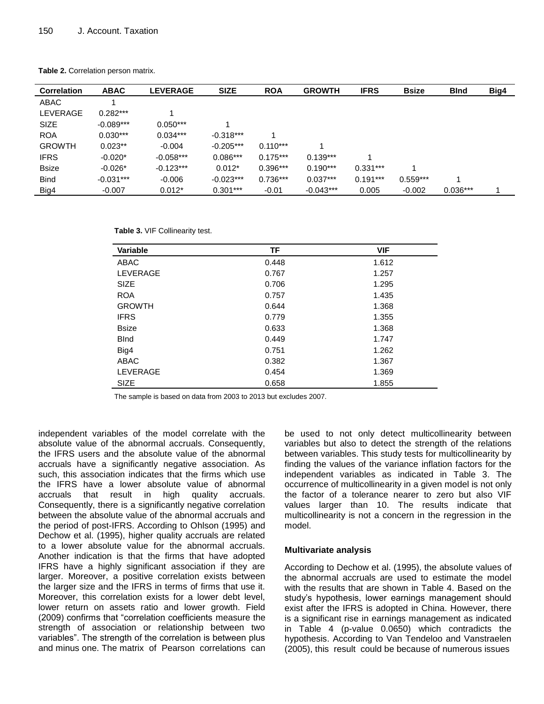| <b>Correlation</b> | <b>ABAC</b> | <b>LEVERAGE</b> | <b>SIZE</b> | <b>ROA</b> | <b>GROWTH</b> | <b>IFRS</b> | <b>Bsize</b> | <b>B</b> Ind | Big4 |
|--------------------|-------------|-----------------|-------------|------------|---------------|-------------|--------------|--------------|------|
| ABAC               |             |                 |             |            |               |             |              |              |      |
| LEVERAGE           | $0.282***$  |                 |             |            |               |             |              |              |      |
| <b>SIZE</b>        | $-0.089***$ | $0.050***$      |             |            |               |             |              |              |      |
| <b>ROA</b>         | $0.030***$  | $0.034***$      | $-0.318***$ |            |               |             |              |              |      |
| <b>GROWTH</b>      | $0.023**$   | $-0.004$        | $-0.205***$ | $0.110***$ |               |             |              |              |      |
| <b>IFRS</b>        | $-0.020*$   | $-0.058***$     | $0.086***$  | $0.175***$ | $0.139***$    |             |              |              |      |
| <b>Bsize</b>       | $-0.026*$   | $-0.123***$     | $0.012*$    | $0.396***$ | $0.190***$    | $0.331***$  |              |              |      |
| <b>Bind</b>        | $-0.031***$ | $-0.006$        | $-0.023***$ | $0.736***$ | $0.037***$    | $0.191***$  | $0.559***$   |              |      |
| Big4               | $-0.007$    | $0.012*$        | $0.301***$  | $-0.01$    | $-0.043***$   | 0.005       | $-0.002$     | $0.036***$   |      |

**Table 2.** Correlation person matrix.

| Variable      | <b>TF</b> | <b>VIF</b> |
|---------------|-----------|------------|
| ABAC          | 0.448     | 1.612      |
| LEVERAGE      | 0.767     | 1.257      |
| <b>SIZE</b>   | 0.706     | 1.295      |
| <b>ROA</b>    | 0.757     | 1.435      |
| <b>GROWTH</b> | 0.644     | 1.368      |
| <b>IFRS</b>   | 0.779     | 1.355      |
| <b>Bsize</b>  | 0.633     | 1.368      |
| <b>B</b> Ind  | 0.449     | 1.747      |
| Big4          | 0.751     | 1.262      |
| ABAC          | 0.382     | 1.367      |
| LEVERAGE      | 0.454     | 1.369      |
| <b>SIZE</b>   | 0.658     | 1.855      |

The sample is based on data from 2003 to 2013 but excludes 2007.

independent variables of the model correlate with the absolute value of the abnormal accruals. Consequently, the IFRS users and the absolute value of the abnormal accruals have a significantly negative association. As such, this association indicates that the firms which use the IFRS have a lower absolute value of abnormal accruals that result in high quality accruals. Consequently, there is a significantly negative correlation between the absolute value of the abnormal accruals and the period of post-IFRS. According to Ohlson (1995) and Dechow et al. (1995), higher quality accruals are related to a lower absolute value for the abnormal accruals. Another indication is that the firms that have adopted IFRS have a highly significant association if they are larger. Moreover, a positive correlation exists between the larger size and the IFRS in terms of firms that use it. Moreover, this correlation exists for a lower debt level, lower return on assets ratio and lower growth. Field 2009) confirms that "correlation coefficients measure the strength of association or relationship between two variables". The strength of the correlation is between plus and minus one. The matrix of Pearson correlations can

be used to not only detect multicollinearity between variables but also to detect the strength of the relations between variables. This study tests for multicollinearity by finding the values of the variance inflation factors for the independent variables as indicated in Table 3. The occurrence of multicollinearity in a given model is not only the factor of a tolerance nearer to zero but also VIF values larger than 10. The results indicate that multicollinearity is not a concern in the regression in the model.

### **Multivariate analysis**

According to Dechow et al. (1995), the absolute values of the abnormal accruals are used to estimate the model with the results that are shown in Table 4. Based on the study's hypothesis, lower earnings management should exist after the IFRS is adopted in China. However, there is a significant rise in earnings management as indicated in Table 4 (p-value 0.0650) which contradicts the hypothesis. According to Van Tendeloo and Vanstraelen (2005), this result could be because of numerous issues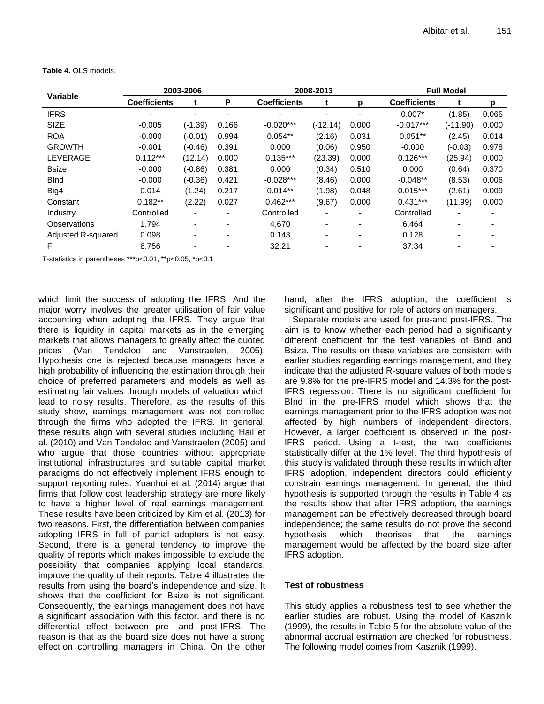|                           | 2003-2006           |         |                          | 2008-2013           |                |       | <b>Full Model</b>   |            |       |
|---------------------------|---------------------|---------|--------------------------|---------------------|----------------|-------|---------------------|------------|-------|
| Variable                  | <b>Coefficients</b> | t       | P                        | <b>Coefficients</b> | t              | р     | <b>Coefficients</b> |            | р     |
| <b>IFRS</b>               | ٠                   | ٠       |                          |                     | $\blacksquare$ |       | $0.007*$            | (1.85)     | 0.065 |
| <b>SIZE</b>               | $-0.005$            | (-1.39) | 0.166                    | $-0.020***$         | (-12.14)       | 0.000 | $-0.017***$         | $(-11.90)$ | 0.000 |
| <b>ROA</b>                | $-0.000$            | (-0.01) | 0.994                    | $0.054**$           | (2.16)         | 0.031 | $0.051**$           | (2.45)     | 0.014 |
| <b>GROWTH</b>             | $-0.001$            | (-0.46) | 0.391                    | 0.000               | (0.06)         | 0.950 | $-0.000$            | $(-0.03)$  | 0.978 |
| LEVERAGE                  | $0.112***$          | (12.14) | 0.000                    | $0.135***$          | (23.39)        | 0.000 | $0.126***$          | (25.94)    | 0.000 |
| <b>Bsize</b>              | $-0.000$            | (-0.86) | 0.381                    | 0.000               | (0.34)         | 0.510 | 0.000               | (0.64)     | 0.370 |
| <b>B</b> Ind              | $-0.000$            | (-0.36) | 0.421                    | $-0.028***$         | (8.46)         | 0.000 | $-0.048**$          | (8.53)     | 0.006 |
| Big4                      | 0.014               | (1.24)  | 0.217                    | $0.014**$           | (1.98)         | 0.048 | $0.015***$          | (2.61)     | 0.009 |
| Constant                  | $0.182**$           | (2.22)  | 0.027                    | $0.462***$          | (9.67)         | 0.000 | $0.431***$          | (11.99)    | 0.000 |
| Industry                  | Controlled          | ٠       |                          | Controlled          |                |       | Controlled          |            | ۰     |
| Observations              | 1.794               | ۰       |                          | 4.670               |                |       | 6.464               |            |       |
| <b>Adjusted R-squared</b> | 0.098               | ٠       | $\overline{\phantom{0}}$ | 0.143               | $\blacksquare$ | ۰     | 0.128               |            | ۰     |
| F                         | 8.756               | -       |                          | 32.21               |                |       | 37.34               |            |       |

**Table 4.** OLS models.

T-statistics in parentheses \*\*\*p<0.01, \*\*p<0.05, \*p<0.1.

which limit the success of adopting the IFRS. And the major worry involves the greater utilisation of fair value accounting when adopting the IFRS. They argue that there is liquidity in capital markets as in the emerging markets that allows managers to greatly affect the quoted prices (Van Tendeloo and Vanstraelen, 2005). Hypothesis one is rejected because managers have a high probability of influencing the estimation through their choice of preferred parameters and models as well as estimating fair values through models of valuation which lead to noisy results. Therefore, as the results of this study show, earnings management was not controlled through the firms who adopted the IFRS. In general, these results align with several studies including Hail et al. (2010) and Van Tendeloo and Vanstraelen (2005) and who argue that those countries without appropriate institutional infrastructures and suitable capital market paradigms do not effectively implement IFRS enough to support reporting rules. Yuanhui et al. (2014) argue that firms that follow cost leadership strategy are more likely to have a higher level of real earnings management. These results have been criticized by Kim et al. (2013) for two reasons. First, the differentiation between companies adopting IFRS in full of partial adopters is not easy. Second, there is a general tendency to improve the quality of reports which makes impossible to exclude the possibility that companies applying local standards, improve the quality of their reports. Table 4 illustrates the results from using the board's independence and size. It shows that the coefficient for Bsize is not significant. Consequently, the earnings management does not have a significant association with this factor, and there is no differential effect between pre- and post-IFRS. The reason is that as the board size does not have a strong effect on controlling managers in China. On the other hand, after the IFRS adoption, the coefficient is significant and positive for role of actors on managers.

Separate models are used for pre-and post-IFRS. The aim is to know whether each period had a significantly different coefficient for the test variables of Bind and Bsize. The results on these variables are consistent with earlier studies regarding earnings management, and they indicate that the adjusted R-square values of both models are 9.8% for the pre-IFRS model and 14.3% for the post-IFRS regression. There is no significant coefficient for BInd in the pre-IFRS model which shows that the earnings management prior to the IFRS adoption was not affected by high numbers of independent directors. However, a larger coefficient is observed in the post-IFRS period. Using a t-test, the two coefficients statistically differ at the 1% level. The third hypothesis of this study is validated through these results in which after IFRS adoption, independent directors could efficiently constrain earnings management. In general, the third hypothesis is supported through the results in Table 4 as the results show that after IFRS adoption, the earnings management can be effectively decreased through board independence; the same results do not prove the second hypothesis which theorises that the earnings management would be affected by the board size after IFRS adoption.

## **Test of robustness**

This study applies a robustness test to see whether the earlier studies are robust. Using the model of Kasznik (1999), the results in Table 5 for the absolute value of the abnormal accrual estimation are checked for robustness. The following model comes from Kasznik (1999).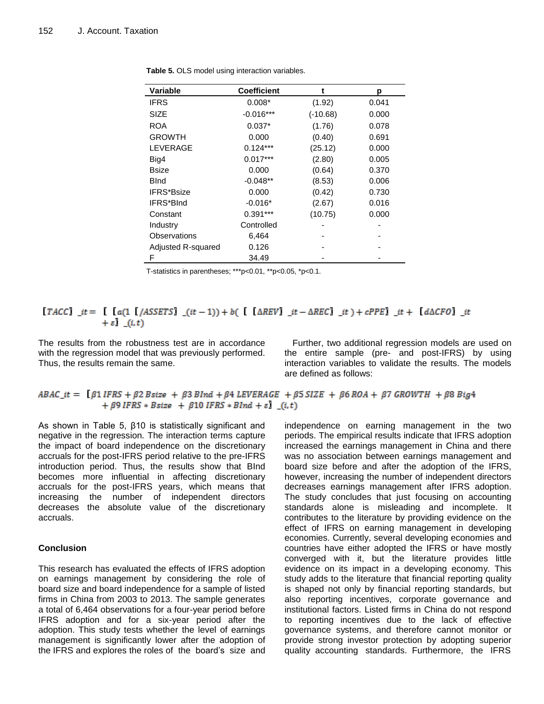| Variable           | <b>Coefficient</b> | t          | р     |
|--------------------|--------------------|------------|-------|
| <b>IFRS</b>        | $0.008*$           | (1.92)     | 0.041 |
| <b>SIZE</b>        | $-0.016***$        | $(-10.68)$ | 0.000 |
| <b>ROA</b>         | $0.037*$           | (1.76)     | 0.078 |
| <b>GROWTH</b>      | 0.000              | (0.40)     | 0.691 |
| LEVERAGE           | $0.124***$         | (25.12)    | 0.000 |
| Big4               | $0.017***$         | (2.80)     | 0.005 |
| <b>Bsize</b>       | 0.000              | (0.64)     | 0.370 |
| <b>B</b> Ind       | $-0.048**$         | (8.53)     | 0.006 |
| IFRS*Bsize         | 0.000              | (0.42)     | 0.730 |
| IFRS*BInd          | $-0.016*$          | (2.67)     | 0.016 |
| Constant           | $0.391***$         | (10.75)    | 0.000 |
| Industry           | Controlled         |            |       |
| Observations       | 6,464              |            |       |
| Adjusted R-squared | 0.126              |            |       |
| F                  | 34.49              |            |       |

**Table 5.** OLS model using interaction variables.

T-statistics in parentheses; \*\*\*p<0.01, \*\*p<0.05, \*p<0.1.

# $\lceil TACC \rceil$   $it = \lceil \lceil a(1 \rceil/ASSETS \rceil - (it-1)) + b(\lceil \lceil AREV \rceil - it - \lceil (at-1) + cPPE \rceil - it + \lceil d\Delta CFO \rceil - it$  $+ \varepsilon$   $(i, t)$

The results from the robustness test are in accordance with the regression model that was previously performed. Thus, the results remain the same.

Further, two additional regression models are used on the entire sample (pre- and post-IFRS) by using interaction variables to validate the results. The models are defined as follows:

## $ABAC_{it} = [\beta 1IFRS + \beta 2 B size + \beta 3 B Ind + \beta 4 LEVERAGE + \beta 5 SIZE + \beta 6 ROA + \beta 7 GROWTH + \beta 8 Big4$  $+ \beta$ 9 IFRS \* Bsize +  $\beta$ 10 IFRS \* Blnd +  $\varepsilon$  (i, t)

As shown in Table 5, β10 is statistically significant and negative in the regression. The interaction terms capture the impact of board independence on the discretionary accruals for the post-IFRS period relative to the pre-IFRS introduction period. Thus, the results show that BInd becomes more influential in affecting discretionary accruals for the post-IFRS years, which means that increasing the number of independent directors decreases the absolute value of the discretionary accruals.

## **Conclusion**

This research has evaluated the effects of IFRS adoption on earnings management by considering the role of board size and board independence for a sample of listed firms in China from 2003 to 2013. The sample generates a total of 6,464 observations for a four-year period before IFRS adoption and for a six-year period after the adoption. This study tests whether the level of earnings management is significantly lower after the adoption of the IFRS and explores the roles of the board's size and

independence on earning management in the two periods. The empirical results indicate that IFRS adoption increased the earnings management in China and there was no association between earnings management and board size before and after the adoption of the IFRS, however, increasing the number of independent directors decreases earnings management after IFRS adoption. The study concludes that just focusing on accounting standards alone is misleading and incomplete. It contributes to the literature by providing evidence on the effect of IFRS on earning management in developing economies. Currently, several developing economies and countries have either adopted the IFRS or have mostly converged with it, but the literature provides little evidence on its impact in a developing economy. This study adds to the literature that financial reporting quality is shaped not only by financial reporting standards, but also reporting incentives, corporate governance and institutional factors. Listed firms in China do not respond to reporting incentives due to the lack of effective governance systems, and therefore cannot monitor or provide strong investor protection by adopting superior quality accounting standards. Furthermore, the IFRS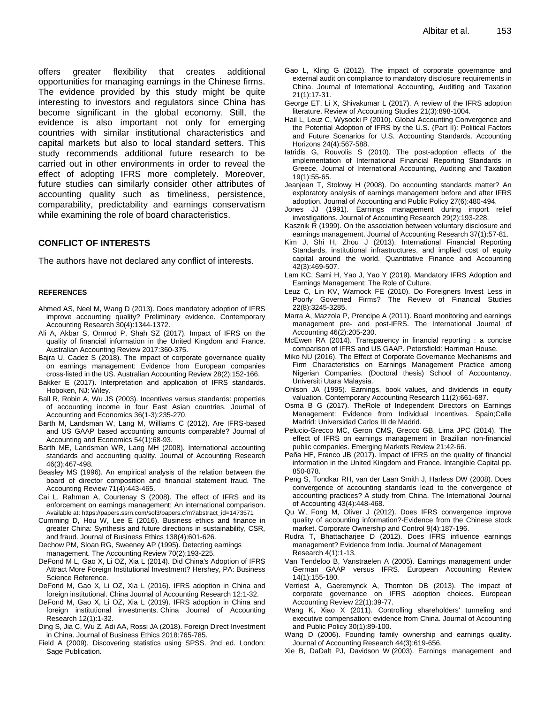offers greater flexibility that creates additional opportunities for managing earnings in the Chinese firms. The evidence provided by this study might be quite interesting to investors and regulators since China has become significant in the global economy. Still, the evidence is also important not only for emerging countries with similar institutional characteristics and capital markets but also to local standard setters. This study recommends additional future research to be carried out in other environments in order to reveal the effect of adopting IFRS more completely. Moreover, future studies can similarly consider other attributes of accounting quality such as timeliness, persistence, comparability, predictability and earnings conservatism while examining the role of board characteristics.

## **CONFLICT OF INTERESTS**

The authors have not declared any conflict of interests.

#### **REFERENCES**

- Ahmed AS, Neel M, Wang D (2013). Does mandatory adoption of IFRS improve accounting quality? Preliminary evidence. Contemporary Accounting Research 30(4):1344-1372.
- Ali A, Akbar S, Ormrod P, Shah SZ (2017). Impact of IFRS on the quality of financial information in the United Kingdom and France. Australian Accounting Review 2017:360-375.
- Bajra U, Cadez S (2018). The impact of corporate governance quality on earnings management: Evidence from European companies cross‐listed in the US. Australian Accounting Review 28(2):152-166.
- Bakker E (2017). Interpretation and application of IFRS standards. Hoboken, NJ: Wiley.
- Ball R, Robin A, Wu JS (2003). Incentives versus standards: properties of accounting income in four East Asian countries. Journal of Accounting and Economics 36(1-3):235-270.
- Barth M, Landsman W, Lang M, Williams C (2012). Are IFRS-based and US GAAP based accounting amounts comparable? Journal of Accounting and Economics 54(1):68-93.
- Barth ME, Landsman WR, Lang MH (2008). International accounting standards and accounting quality. Journal of Accounting Research 46(3):467-498.
- Beasley MS (1996). An empirical analysis of the relation between the board of director composition and financial statement fraud. The Accounting Review 71(4):443-465.
- Cai L, Rahman A, Courtenay S (2008). The effect of IFRS and its enforcement on earnings management: An international comparison. Available at: https://papers.ssrn.com/sol3/papers.cfm?abstract\_id=1473571
- Cumming D, Hou W, Lee E (2016). Business ethics and finance in greater China: Synthesis and future directions in sustainability, CSR, and fraud. Journal of Business Ethics 138(4):601-626.
- Dechow PM, Sloan RG, Sweeney AP (1995). Detecting earnings management. The Accounting Review 70(2):193-225.
- DeFond M L, Gao X, Li OZ, Xia L (2014). Did China's Adoption of IFRS Attract More Foreign Institutional Investment? Hershey, PA: Business Science Reference.
- DeFond M, Gao X, Li OZ, Xia L (2016). IFRS adoption in China and foreign institutional. China Journal of Accounting Research 12:1-32.
- DeFond M, Gao X, Li OZ, Xia L (2019). IFRS adoption in China and foreign institutional investments. China Journal of Accounting Research 12(1):1-32.
- Ding S, Jia C, Wu Z, Adi AA, Rossi JA (2018). Foreign Direct Investment in China. Journal of Business Ethics 2018:765-785.
- Field A (2009). Discovering statistics using SPSS. 2nd ed. London: Sage Publication.
- Gao L, Kling G (2012). The impact of corporate governance and external audit on compliance to mandatory disclosure requirements in China. Journal of International Accounting, Auditing and Taxation 21(1):17-31.
- George ET, Li X, Shivakumar L (2017). A review of the IFRS adoption literature. Review of Accounting Studies 21(3):898-1004.
- Hail L, Leuz C, Wysocki P (2010). Global Accounting Convergence and the Potential Adoption of IFRS by the U.S. (Part II): Political Factors and Future Scenarios for U.S. Accounting Standards. Accounting Horizons 24(4):567-588.
- Iatridis G, Rouvolis S (2010). The post-adoption effects of the implementation of International Financial Reporting Standards in Greece. Journal of International Accounting, Auditing and Taxation 19(1):55-65.
- Jeanjean T, Stolowy H (2008). Do accounting standards matter? An exploratory analysis of earnings management before and after IFRS adoption. Journal of Accounting and Public Policy 27(6):480-494.
- Jones JJ (1991). Earnings management during import relief investigations. Journal of Accounting Research 29(2):193-228.
- Kasznik R (1999). On the association between voluntary disclosure and earnings management. Journal of Accounting Research 37(1):57-81.
- Kim J, Shi H, Zhou J (2013). International Financial Reporting Standards, institutional infrastructures, and implied cost of equity capital around the world. Quantitative Finance and Accounting 42(3):469-507.
- Lam KC, Sami H, Yao J, Yao Y (2019). Mandatory IFRS Adoption and Earnings Management: The Role of Culture.
- Leuz C, Lin KV, Warnock FE (2010). Do Foreigners Invest Less in Poorly Governed Firms? The Review of Financial Studies 22(8):3245-3285.
- Marra A, Mazzola P, Prencipe A (2011). Board monitoring and earnings management pre- and post-IFRS. The International Journal of Accounting 46(2):205-230.
- McEwen RA (2014). Transparency in financial reporting : a concise comparison of IFRS and US GAAP. Petersfield: Harriman House.
- Miko NU (2016). The Effect of Corporate Governance Mechanisms and Firm Characteristics on Earnings Management Practice among Nigerian Companies. (Doctoral thesis) School of Accountancy. Universiti Utara Malaysia.
- Ohlson JA (1995). Earnings, book values, and dividends in equity valuation. Contemporary Accounting Research 11(2):661-687.
- Osma B G (2017). TheRole of Independent Directors on Earnings Management: Evidence from Individual Incentives. Spain;Calle Madrid: Universidad Carlos III de Madrid.
- Pelucio-Grecco MC, Geron CMS, Grecco GB, Lima JPC (2014). The effect of IFRS on earnings management in Brazilian non-financial public companies. Emerging Markets Review 21:42-66.
- Peña HF, Franco JB (2017). Impact of IFRS on the quality of financial information in the United Kingdom and France. Intangible Capital pp. 850-878.
- Peng S, Tondkar RH, van der Laan Smith J, Harless DW (2008). Does convergence of accounting standards lead to the convergence of accounting practices? A study from China. The International Journal of Accounting 43(4):448-468.
- Qu W, Fong M, Oliver J (2012). Does IFRS convergence improve quality of accounting information?-Evidence from the Chinese stock market. Corporate Ownership and Control 9(4):187-196.
- Rudra T, Bhattacharjee D (2012). Does IFRS influence earnings management? Evidence from India. Journal of Management Research 4(1):1-13.
- Van Tendeloo B, Vanstraelen A (2005). Earnings management under German GAAP versus IFRS. European Accounting Review 14(1):155-180.
- Verriest A, Gaeremynck A, Thornton DB (2013). The impact of corporate governance on IFRS adoption choices. European Accounting Review 22(1):39-77.
- Wang K, Xiao X (2011). Controlling shareholders' tunneling and executive compensation: evidence from China. Journal of Accounting and Public Policy 30(1):89-100.
- Wang D (2006). Founding family ownership and earnings quality. Journal of Accounting Research 44(3):619-656.
- Xie B, DaDalt PJ, Davidson W (2003). Earnings management and